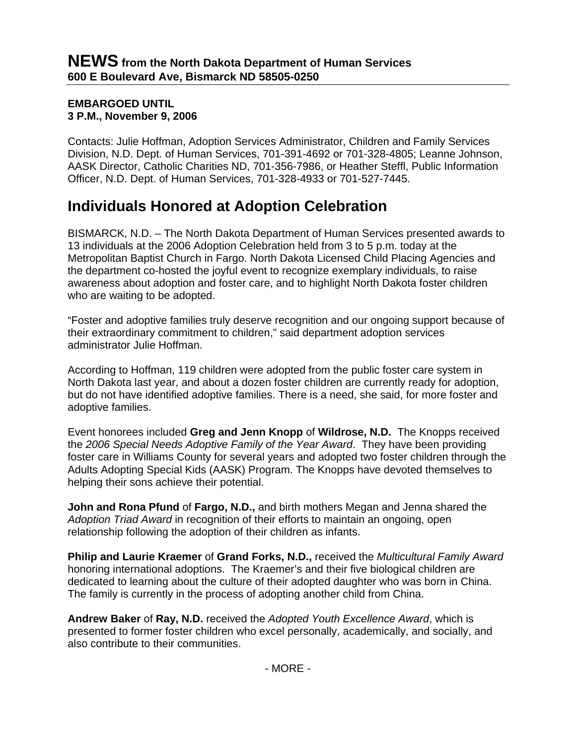## **EMBARGOED UNTIL 3 P.M., November 9, 2006**

Contacts: Julie Hoffman, Adoption Services Administrator, Children and Family Services Division, N.D. Dept. of Human Services, 701-391-4692 or 701-328-4805; Leanne Johnson, AASK Director, Catholic Charities ND, 701-356-7986, or Heather Steffl, Public Information Officer, N.D. Dept. of Human Services, 701-328-4933 or 701-527-7445.

## **Individuals Honored at Adoption Celebration**

BISMARCK, N.D. – The North Dakota Department of Human Services presented awards to 13 individuals at the 2006 Adoption Celebration held from 3 to 5 p.m. today at the Metropolitan Baptist Church in Fargo. North Dakota Licensed Child Placing Agencies and the department co-hosted the joyful event to recognize exemplary individuals, to raise awareness about adoption and foster care, and to highlight North Dakota foster children who are waiting to be adopted.

"Foster and adoptive families truly deserve recognition and our ongoing support because of their extraordinary commitment to children," said department adoption services administrator Julie Hoffman.

According to Hoffman, 119 children were adopted from the public foster care system in North Dakota last year, and about a dozen foster children are currently ready for adoption, but do not have identified adoptive families. There is a need, she said, for more foster and adoptive families.

Event honorees included **Greg and Jenn Knopp** of **Wildrose, N.D.** The Knopps received the *2006 Special Needs Adoptive Family of the Year Award*. They have been providing foster care in Williams County for several years and adopted two foster children through the Adults Adopting Special Kids (AASK) Program. The Knopps have devoted themselves to helping their sons achieve their potential.

**John and Rona Pfund** of **Fargo, N.D.,** and birth mothers Megan and Jenna shared the *Adoption Triad Award* in recognition of their efforts to maintain an ongoing, open relationship following the adoption of their children as infants.

**Philip and Laurie Kraemer** of **Grand Forks, N.D.,** received the *Multicultural Family Award* honoring international adoptions. The Kraemer's and their five biological children are dedicated to learning about the culture of their adopted daughter who was born in China. The family is currently in the process of adopting another child from China.

**Andrew Baker** of **Ray, N.D.** received the *Adopted Youth Excellence Award*, which is presented to former foster children who excel personally, academically, and socially, and also contribute to their communities.